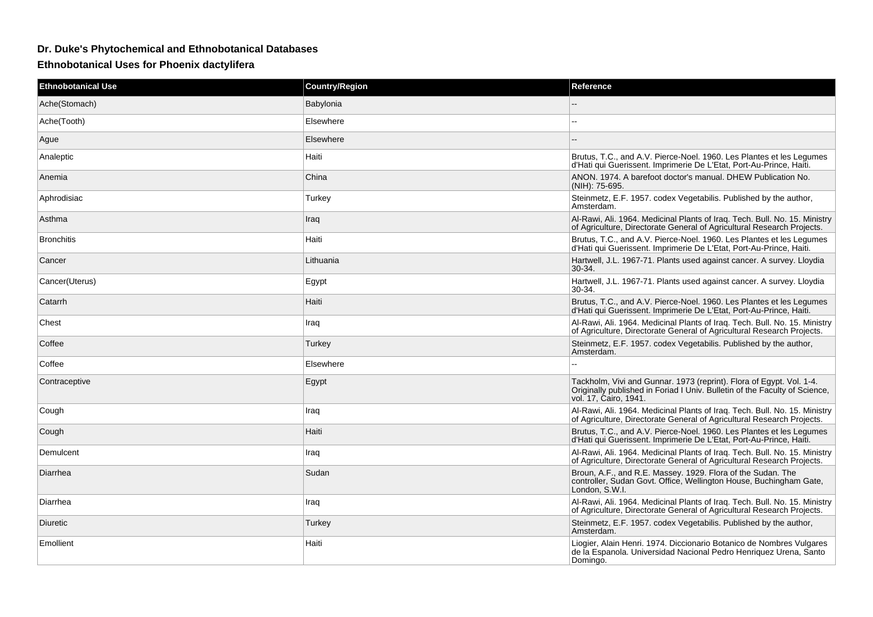## **Dr. Duke's Phytochemical and Ethnobotanical Databases**

**Ethnobotanical Uses for Phoenix dactylifera**

| <b>Ethnobotanical Use</b> | <b>Country/Region</b> | Reference                                                                                                                                                                   |
|---------------------------|-----------------------|-----------------------------------------------------------------------------------------------------------------------------------------------------------------------------|
| Ache(Stomach)             | Babylonia             |                                                                                                                                                                             |
| Ache(Tooth)               | Elsewhere             | ۵.                                                                                                                                                                          |
| Ague                      | Elsewhere             |                                                                                                                                                                             |
| Analeptic                 | Haiti                 | Brutus, T.C., and A.V. Pierce-Noel. 1960. Les Plantes et les Legumes<br>d'Hati qui Guerissent. Imprimerie De L'Etat, Port-Au-Prince, Haiti.                                 |
| Anemia                    | China                 | ANON, 1974. A barefoot doctor's manual. DHEW Publication No.<br>(NIH): 75-695.                                                                                              |
| Aphrodisiac               | Turkey                | Steinmetz, E.F. 1957. codex Vegetabilis. Published by the author,<br>Amsterdam.                                                                                             |
| Asthma                    | Iraq                  | Al-Rawi, Ali. 1964. Medicinal Plants of Iraq. Tech. Bull. No. 15. Ministry<br>of Agriculture, Directorate General of Agricultural Research Projects.                        |
| <b>Bronchitis</b>         | Haiti                 | Brutus, T.C., and A.V. Pierce-Noel. 1960. Les Plantes et les Legumes<br>d'Hati qui Guerissent. Imprimerie De L'Etat, Port-Au-Prince, Haiti.                                 |
| Cancer                    | Lithuania             | Hartwell, J.L. 1967-71. Plants used against cancer. A survey. Lloydia<br>$30-34.$                                                                                           |
| Cancer(Uterus)            | Egypt                 | Hartwell, J.L. 1967-71. Plants used against cancer. A survey. Lloydia<br>30-34.                                                                                             |
| Catarrh                   | Haiti                 | Brutus, T.C., and A.V. Pierce-Noel. 1960. Les Plantes et les Legumes<br>d'Hati qui Guerissent. Imprimerie De L'Etat, Port-Au-Prince, Haiti.                                 |
| Chest                     | Iraq                  | Al-Rawi, Ali. 1964. Medicinal Plants of Iraq. Tech. Bull. No. 15. Ministry<br>of Agriculture, Directorate General of Agricultural Research Projects.                        |
| Coffee                    | Turkey                | Steinmetz, E.F. 1957. codex Vegetabilis. Published by the author,<br>Amsterdam.                                                                                             |
| Coffee                    | Elsewhere             |                                                                                                                                                                             |
| Contraceptive             | Egypt                 | Tackholm, Vivi and Gunnar. 1973 (reprint). Flora of Egypt. Vol. 1-4.<br>Originally published in Foriad I Univ. Bulletin of the Faculty of Science,<br>vol. 17, Cairo, 1941. |
| Cough                     | Iraq                  | Al-Rawi, Ali. 1964. Medicinal Plants of Iraq. Tech. Bull. No. 15. Ministry<br>of Agriculture, Directorate General of Agricultural Research Projects.                        |
| Cough                     | Haiti                 | Brutus, T.C., and A.V. Pierce-Noel. 1960. Les Plantes et les Legumes<br>d'Hati qui Guerissent. Imprimerie De L'Etat, Port-Au-Prince, Haiti.                                 |
| Demulcent                 | Iraq                  | Al-Rawi, Ali. 1964. Medicinal Plants of Iraq. Tech. Bull. No. 15. Ministry<br>of Agriculture, Directorate General of Agricultural Research Projects.                        |
| Diarrhea                  | Sudan                 | Broun, A.F., and R.E. Massey. 1929. Flora of the Sudan. The<br>controller, Sudan Govt. Office, Wellington House, Buchingham Gate,<br>London, S.W.I.                         |
| Diarrhea                  | Iraq                  | Al-Rawi, Ali. 1964. Medicinal Plants of Iraq. Tech. Bull. No. 15. Ministry<br>of Agriculture, Directorate General of Agricultural Research Projects.                        |
| Diuretic                  | Turkey                | Steinmetz, E.F. 1957. codex Vegetabilis. Published by the author,<br>Amsterdam.                                                                                             |
| Emollient                 | Haiti                 | Liogier, Alain Henri. 1974. Diccionario Botanico de Nombres Vulgares<br>de la Espanola. Universidad Nacional Pedro Henriquez Urena, Santo<br>Domingo.                       |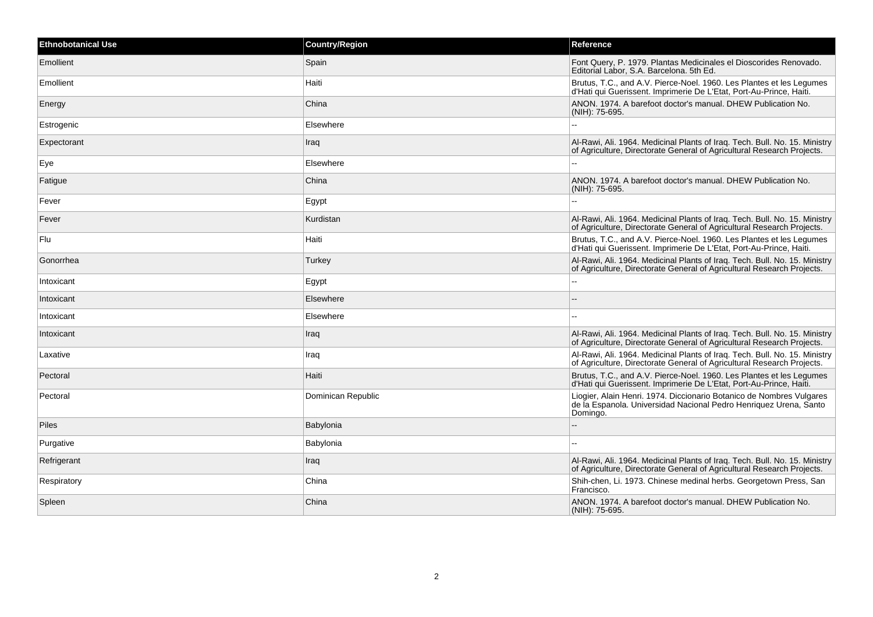| <b>Ethnobotanical Use</b> | <b>Country/Region</b> | Reference                                                                                                                                             |
|---------------------------|-----------------------|-------------------------------------------------------------------------------------------------------------------------------------------------------|
| Emollient                 | Spain                 | Font Query, P. 1979. Plantas Medicinales el Dioscorides Renovado.<br>Editorial Labor, S.A. Barcelona. 5th Ed.                                         |
| Emollient                 | Haiti                 | Brutus, T.C., and A.V. Pierce-Noel. 1960. Les Plantes et les Legumes<br>d'Hati qui Guerissent. Imprimerie De L'Etat, Port-Au-Prince, Haiti.           |
| Energy                    | China                 | ANON, 1974. A barefoot doctor's manual. DHEW Publication No.<br>(NIH): 75-695.                                                                        |
| Estrogenic                | Elsewhere             |                                                                                                                                                       |
| Expectorant               | Iraq                  | Al-Rawi, Ali. 1964. Medicinal Plants of Iraq. Tech. Bull. No. 15. Ministry<br>of Agriculture, Directorate General of Agricultural Research Projects.  |
| Eye                       | Elsewhere             |                                                                                                                                                       |
| Fatigue                   | China                 | ANON. 1974. A barefoot doctor's manual. DHEW Publication No.<br>(NIH): 75-695.                                                                        |
| Fever                     | Egypt                 |                                                                                                                                                       |
| Fever                     | Kurdistan             | Al-Rawi, Ali. 1964. Medicinal Plants of Iraq. Tech. Bull. No. 15. Ministry<br>of Agriculture, Directorate General of Agricultural Research Projects.  |
| Flu                       | Haiti                 | Brutus, T.C., and A.V. Pierce-Noel. 1960. Les Plantes et les Legumes<br>d'Hati qui Guerissent. Imprimerie De L'Etat, Port-Au-Prince, Haiti.           |
| Gonorrhea                 | Turkey                | Al-Rawi, Ali. 1964. Medicinal Plants of Iraq. Tech. Bull. No. 15. Ministry<br>of Agriculture, Directorate General of Agricultural Research Projects.  |
| Intoxicant                | Egypt                 | --                                                                                                                                                    |
| Intoxicant                | Elsewhere             |                                                                                                                                                       |
| Intoxicant                | Elsewhere             |                                                                                                                                                       |
| Intoxicant                | Iraq                  | Al-Rawi, Ali. 1964. Medicinal Plants of Iraq. Tech. Bull. No. 15. Ministry<br>of Agriculture, Directorate General of Agricultural Research Projects.  |
| Laxative                  | Iraq                  | Al-Rawi, Ali. 1964. Medicinal Plants of Iraq. Tech. Bull. No. 15. Ministry<br>of Agriculture, Directorate General of Agricultural Research Projects.  |
| Pectoral                  | Haiti                 | Brutus, T.C., and A.V. Pierce-Noel. 1960. Les Plantes et les Legumes<br>d'Hati qui Guerissent. Imprimerie De L'Etat, Port-Au-Prince, Haiti.           |
| Pectoral                  | Dominican Republic    | Liogier, Alain Henri. 1974. Diccionario Botanico de Nombres Vulgares<br>de la Espanola. Universidad Nacional Pedro Henriquez Urena, Santo<br>Domingo. |
| <b>Piles</b>              | Babylonia             |                                                                                                                                                       |
| Purgative                 | Babylonia             |                                                                                                                                                       |
| Refrigerant               | Iraq                  | Al-Rawi, Ali. 1964. Medicinal Plants of Iraq. Tech. Bull. No. 15. Ministry<br>of Agriculture, Directorate General of Agricultural Research Projects.  |
| Respiratory               | China                 | Shih-chen, Li. 1973. Chinese medinal herbs. Georgetown Press, San<br>Francisco.                                                                       |
| Spleen                    | China                 | ANON. 1974. A barefoot doctor's manual. DHEW Publication No.<br>(NIH): 75-695.                                                                        |